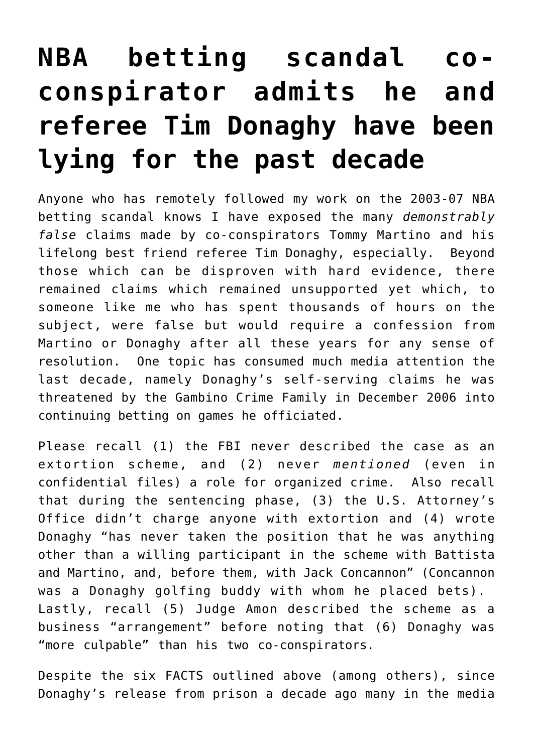## **[NBA betting scandal co](https://seanpatrickgriffin.net/nba-betting-scandal-co-conspirator-admits-he-and-referee-tim-donaghy-have-been-lying-for-the-past-decade/)[conspirator admits he and](https://seanpatrickgriffin.net/nba-betting-scandal-co-conspirator-admits-he-and-referee-tim-donaghy-have-been-lying-for-the-past-decade/) [referee Tim Donaghy have been](https://seanpatrickgriffin.net/nba-betting-scandal-co-conspirator-admits-he-and-referee-tim-donaghy-have-been-lying-for-the-past-decade/) [lying for the past decade](https://seanpatrickgriffin.net/nba-betting-scandal-co-conspirator-admits-he-and-referee-tim-donaghy-have-been-lying-for-the-past-decade/)**

Anyone who has remotely followed [my work on the 2003-07 NBA](https://seanpatrickgriffin.net/gaming-the-game-the-story-behind-the-nba-betting-scandal-and-the-gambler-who-made-it-happen/) [betting scandal](https://seanpatrickgriffin.net/gaming-the-game-the-story-behind-the-nba-betting-scandal-and-the-gambler-who-made-it-happen/) knows I have exposed the many *demonstrably false* claims made by co-conspirators Tommy Martino and his lifelong best friend [referee Tim Donaghy, especially](https://seanpatrickgriffin.net/donaghy-claims-post-november-2009/). Beyond those which can be disproven with hard evidence, there remained [claims which remained unsupported](https://seanpatrickgriffin.net/donaghy-claims-post-november-2009-for/) yet which, to someone like me who has spent thousands of hours on the subject, were false but would require a confession from [Martino or Donaghy](https://seanpatrickgriffin.net/former-nba-referee-tim-donaghys/) after all these years for any sense of resolution. One topic has consumed much media attention the last decade, namely [Donaghy's self-serving claims he was](https://www.youtube.com/watch?v=n08PA__ZK9Y) [threatened by the Gambino Crime Family in December 2006](https://www.youtube.com/watch?v=n08PA__ZK9Y) into continuing betting on games he officiated.

[Please recall](https://seanpatrickgriffin.net/category/nba-betting-scandal/criminal-justice-timeline-for-the-nba-betting-scandal/) (1) the FBI never described the case as an extortion scheme, and (2) [never](https://seanpatrickgriffin.net/on-mob-and-nba-betting-scanda/) *[mentioned](https://seanpatrickgriffin.net/on-mob-and-nba-betting-scanda/)* [\(even in](https://seanpatrickgriffin.net/on-mob-and-nba-betting-scanda/) [confidential files\) a role for organized crime](https://seanpatrickgriffin.net/on-mob-and-nba-betting-scanda/). Also recall that during the sentencing phase, (3) the U.S. Attorney's Office didn't charge anyone with extortion and (4) wrote Donaghy "has never taken the position that he was anything other than a willing participant in the scheme with Battista and Martino, and, before them, with Jack Concannon" (Concannon was a Donaghy golfing buddy with whom he placed bets). Lastly, recall (5) Judge Amon described the scheme as a business "arrangement" before noting that (6) Donaghy was "more culpable" than his two co-conspirators.

Despite the six FACTS outlined above ([among others\)](https://seanpatrickgriffin.net/gaming-the-game-the-story-behind-the-nba-betting-scandal-and-the-gambler-who-made-it-happen/), since Donaghy's release from prison a decade ago [many in the media](https://seanpatrickgriffin.net/sports-media-is-willingly-allowing-its-audiences-to-be-suckered-by-former-nba-referee-tim-donaghy-again-and-phillys-mike-missanelli-is-exhibit-a/)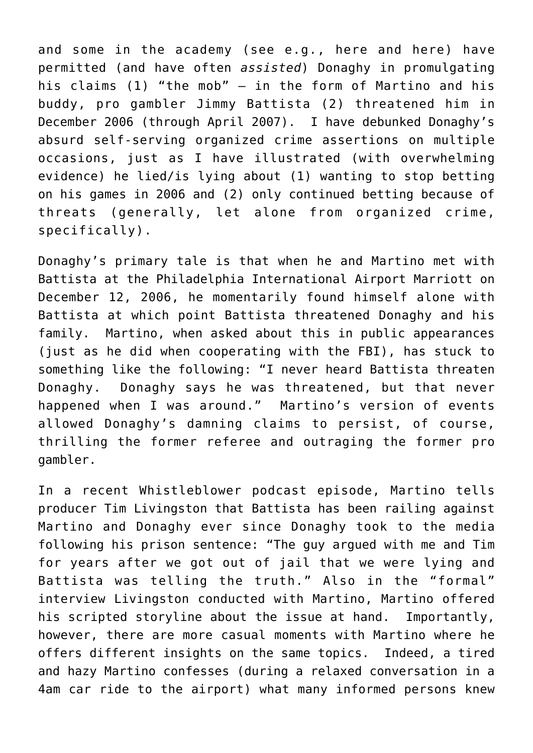and some in the academy (see e.g., [here](https://youtu.be/oOjPbBlH6vQ) and [here](https://www1.villanova.edu/university/law/faculty-scholarship/faculty-highlights/archived-faculty-highlights.html#_content_university_law_faculty-scholarship_faculty-highlights_archived-faculty-highlights_pagecontent_collapsecontent_v2_c_1109632047_Collapse)) have permitted (and have often *assisted*) Donaghy in promulgating his claims (1) "the mob" – in the form of Martino and his buddy, pro gambler Jimmy Battista (2) threatened him in December 2006 (through April 2007). I have debunked Donaghy's absurd self-serving organized crime assertions on multiple occasions, just as I have illustrated (with overwhelming evidence) he lied/is lying about (1) wanting to stop betting on his games in 2006 and (2) only continued betting because of threats (generally, let alone from organized crime, specifically).

Donaghy's primary tale is that when he and Martino met with Battista at the Philadelphia International Airport Marriott on December 12, 2006, he momentarily found himself alone with Battista at which point Battista threatened Donaghy and his family. Martino, when asked about this in public appearances (just as he did when cooperating with the FBI), has stuck to something like the following: "I never heard Battista threaten Donaghy. Donaghy says he was threatened, but that never happened when I was around." Martino's version of events allowed Donaghy's damning claims to persist, of course, thrilling the former referee and outraging the former pro gambler.

In a recent Whistleblower podcast [episode](https://podcasts.apple.com/us/podcast/timmy-and-tommy/id1527436649?i=1000490758857), Martino tells producer [Tim Livingston](https://twitter.com/timlikessports) that Battista has been railing against Martino and Donaghy ever since Donaghy took to the media following his prison sentence: "The guy argued with me and Tim for years after we got out of jail that we were lying and Battista was telling the truth." Also in the "formal" interview Livingston conducted with Martino, Martino offered his scripted storyline about the issue at hand. Importantly, however, there are more casual moments with Martino where he offers different insights on the same topics. Indeed, a tired and hazy Martino confesses (during a relaxed conversation in a 4am car ride to the airport) what many informed persons knew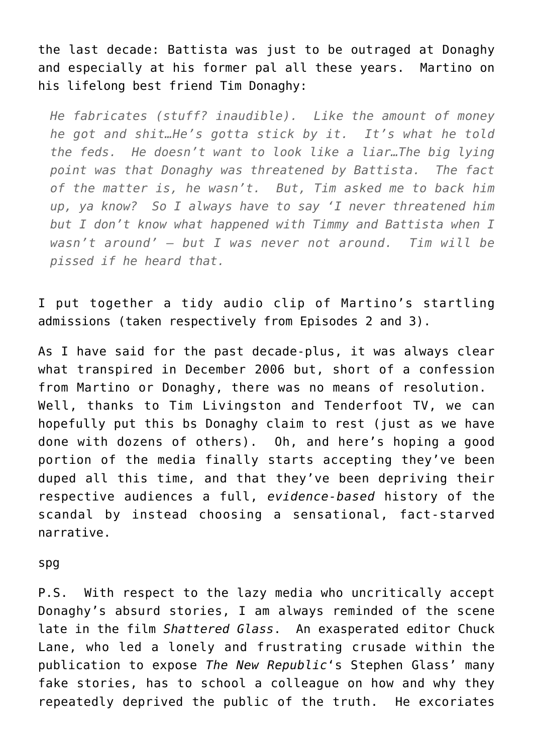the last decade: Battista was just to be outraged at Donaghy and especially at his former pal all these years. Martino on his lifelong best friend Tim Donaghy:

*He fabricates (stuff? inaudible). Like the amount of money he got and shit…He's gotta stick by it. It's what he told the feds. He doesn't want to look like a liar…The big lying point was that Donaghy was threatened by Battista. The fact of the matter is, he wasn't. But, Tim asked me to back him up, ya know? So I always have to say 'I never threatened him but I don't know what happened with Timmy and Battista when I wasn't around' – but I was never not around. Tim will be pissed if he heard that.*

I put together a tidy [audio clip of Martino's startling](https://youtu.be/WJwcIN-Q51o) [admissions](https://youtu.be/WJwcIN-Q51o) (taken respectively from Episodes [2](https://podcasts.apple.com/us/podcast/out-of-bounds/id1527436649?i=1000489927931) and [3](https://podcasts.apple.com/us/podcast/timmy-and-tommy/id1527436649?i=1000490758857)).

As I have said for the past decade-plus, it was always clear what transpired in December 2006 but, short of a confession from Martino or Donaghy, there was no means of resolution. Well, thanks to Tim Livingston and [Tenderfoot TV](https://tenderfoot.tv/about/), we can hopefully put this bs Donaghy claim to rest (just as we have done with dozens of others). Oh, and here's hoping a good portion of [the media](https://www.youtube.com/watch?v=2Ep0Tich6X4) finally starts accepting [they've been](https://seanpatrickgriffin.net/sports-media-is-willingly-allowing-its-audiences-to-be-suckered-by-former-nba-referee-tim-donaghy-again-and-phillys-mike-missanelli-is-exhibit-a/) [duped all this time,](https://seanpatrickgriffin.net/sports-media-is-willingly-allowing-its-audiences-to-be-suckered-by-former-nba-referee-tim-donaghy-again-and-phillys-mike-missanelli-is-exhibit-a/) and that they've been depriving their respective audiences a full, *[evidence-based](https://seanpatrickgriffin.net/gaming-the-game-the-story-behind-the-nba-betting-scandal-and-the-gambler-who-made-it-happen/)* [history of the](https://seanpatrickgriffin.net/gaming-the-game-the-story-behind-the-nba-betting-scandal-and-the-gambler-who-made-it-happen/) [scandal](https://seanpatrickgriffin.net/gaming-the-game-the-story-behind-the-nba-betting-scandal-and-the-gambler-who-made-it-happen/) by instead choosing a sensational, fact-starved narrative.

spg

P.S. With respect to the lazy media who uncritically accept Donaghy's absurd stories, I am always reminded of the scene late in the film *[Shattered Glass](https://www.imdb.com/title/tt0323944/)*. An exasperated editor [Chuck](https://www.washingtonpost.com/people/charles-lane/) [Lane](https://www.washingtonpost.com/people/charles-lane/), who led a lonely and frustrating crusade within the publication to expose *[The New Republic](https://www.vanityfair.com/magazine/1998/09/bissinger199809)*['s Stephen Glass'](https://www.vanityfair.com/magazine/1998/09/bissinger199809) many [fake stories](http://wp.lps.org/akabour/files/2013/12/To-Our-Readers-New-Republic.pdf), has to school a colleague on how and why they repeatedly deprived the public of the truth. He excoriates